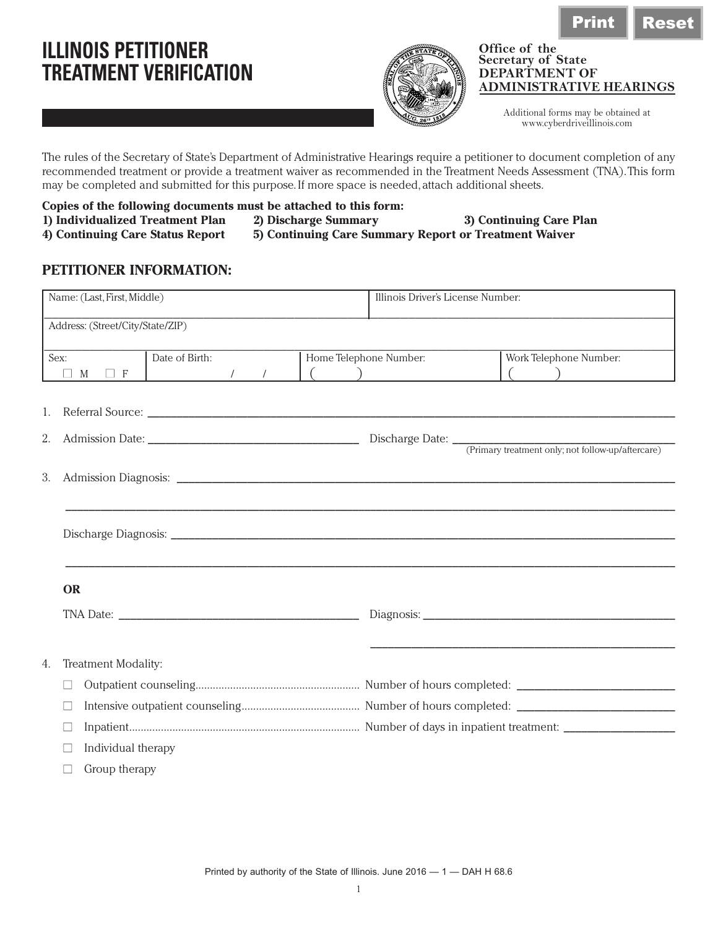## **ILLINOIS PETITIONER TREATMENT VERIFICATION**



## **Office of the Secretary of State DEPARTMENT OF ADMINISTRATIVE HEARINGS**

Additional forms may be obtained at www.cyberdriveillinois.com

The rules of the Secretary of State's Department of Administrative Hearings require a petitioner to document completion of any recommended treatment or provide a treatment waiver as recommended in the Treatment Needs Assessment (TNA). This form may be completed and submitted for this purpose. If more space is needed, attach additional sheets.

- **Copies of the following documents must be attached to this form:**
	-
- 
- **1) Individualized Treatment Plan 2) Discharge Summary 3) Continuing Care Plan 5) Continuing Care Summary Report or Treatment Waiver**

**PETITIONER INFORMATION:**

|    | Name: (Last, First, Middle)      |                |               |  | Illinois Driver's License Number: |                             |  |  |
|----|----------------------------------|----------------|---------------|--|-----------------------------------|-----------------------------|--|--|
|    | Address: (Street/City/State/ZIP) |                |               |  |                                   |                             |  |  |
|    | Sex:<br>M<br>$\Box$ F<br>Ш       | Date of Birth: | $\frac{1}{2}$ |  | Home Telephone Number:            | Work Telephone Number:<br>( |  |  |
| 1. |                                  |                |               |  |                                   |                             |  |  |
| 2. |                                  |                |               |  |                                   |                             |  |  |
| 3. |                                  |                |               |  |                                   |                             |  |  |
|    |                                  |                |               |  |                                   |                             |  |  |
|    | <b>OR</b>                        |                |               |  |                                   |                             |  |  |
|    |                                  |                |               |  |                                   |                             |  |  |
| 4. | Treatment Modality:              |                |               |  |                                   |                             |  |  |
|    |                                  |                |               |  |                                   |                             |  |  |
|    |                                  |                |               |  |                                   |                             |  |  |
|    |                                  |                |               |  |                                   |                             |  |  |
|    | Individual therapy               |                |               |  |                                   |                             |  |  |
|    | Group therapy                    |                |               |  |                                   |                             |  |  |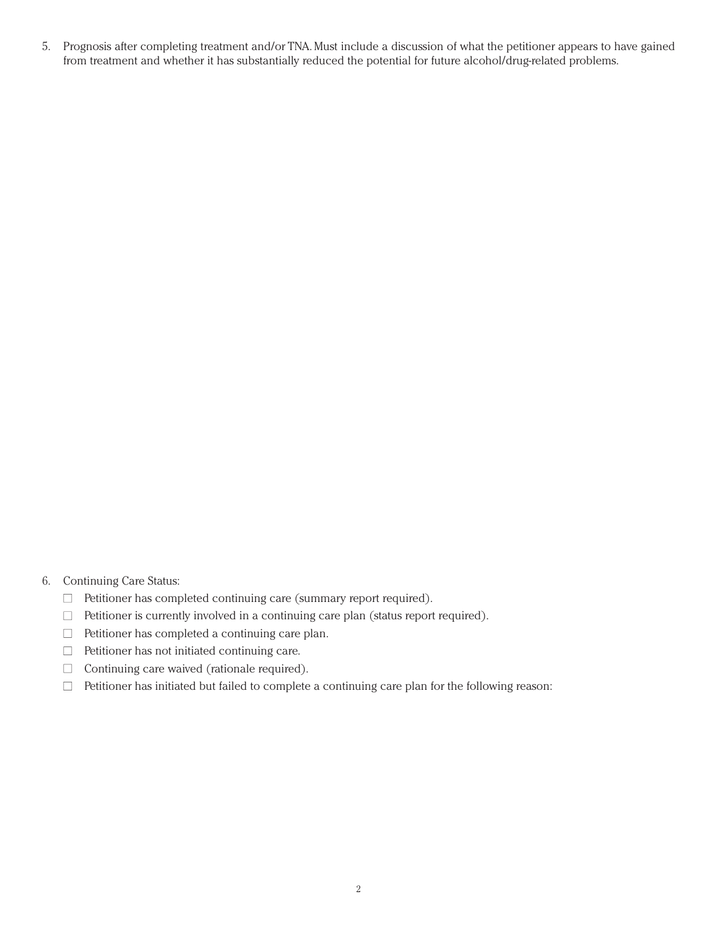5. Prognosis after completing treatment and/or TNA. Must include a discussion of what the petitioner appears to have gained from treatment and whether it has substantially reduced the potential for future alcohol/drug-related problems.

- 6. Continuing Care Status:
	- $\Box$  Petitioner has completed continuing care (summary report required).
	- $\Box$  Petitioner is currently involved in a continuing care plan (status report required).
	- $\Box$  Petitioner has completed a continuing care plan.
	- $\Box$  Petitioner has not initiated continuing care.
	- $\Box$  Continuing care waived (rationale required).
	- $\Box$  Petitioner has initiated but failed to complete a continuing care plan for the following reason: